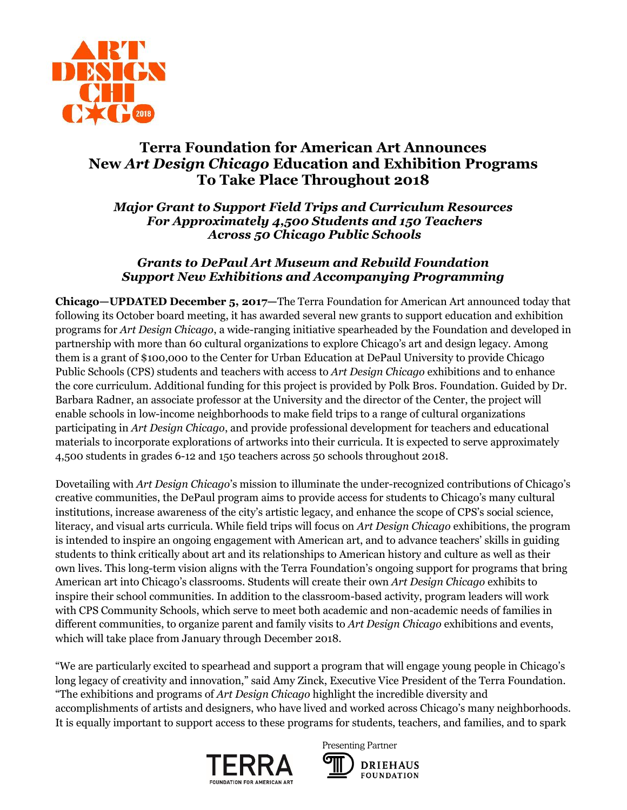

# **Terra Foundation for American Art Announces New** *Art Design Chicago* **Education and Exhibition Programs To Take Place Throughout 2018**

*Major Grant to Support Field Trips and Curriculum Resources For Approximately 4,500 Students and 150 Teachers Across 50 Chicago Public Schools*

## *Grants to DePaul Art Museum and Rebuild Foundation Support New Exhibitions and Accompanying Programming*

**Chicago—UPDATED December 5, 2017—**The Terra Foundation for American Art announced today that following its October board meeting, it has awarded several new grants to support education and exhibition programs for *Art Design Chicago*, a wide-ranging initiative spearheaded by the Foundation and developed in partnership with more than 60 cultural organizations to explore Chicago's art and design legacy. Among them is a grant of \$100,000 to the Center for Urban Education at DePaul University to provide Chicago Public Schools (CPS) students and teachers with access to *Art Design Chicago* exhibitions and to enhance the core curriculum. Additional funding for this project is provided by Polk Bros. Foundation. Guided by Dr. Barbara Radner, an associate professor at the University and the director of the Center, the project will enable schools in low-income neighborhoods to make field trips to a range of cultural organizations participating in *Art Design Chicago*, and provide professional development for teachers and educational materials to incorporate explorations of artworks into their curricula. It is expected to serve approximately 4,500 students in grades 6-12 and 150 teachers across 50 schools throughout 2018.

Dovetailing with *Art Design Chicago*'s mission to illuminate the under-recognized contributions of Chicago's creative communities, the DePaul program aims to provide access for students to Chicago's many cultural institutions, increase awareness of the city's artistic legacy, and enhance the scope of CPS's social science, literacy, and visual arts curricula. While field trips will focus on *Art Design Chicago* exhibitions, the program is intended to inspire an ongoing engagement with American art, and to advance teachers' skills in guiding students to think critically about art and its relationships to American history and culture as well as their own lives. This long-term vision aligns with the Terra Foundation's ongoing support for programs that bring American art into Chicago's classrooms. Students will create their own *Art Design Chicago* exhibits to inspire their school communities. In addition to the classroom-based activity, program leaders will work with CPS Community Schools, which serve to meet both academic and non-academic needs of families in different communities, to organize parent and family visits to *Art Design Chicago* exhibitions and events, which will take place from January through December 2018.

"We are particularly excited to spearhead and support a program that will engage young people in Chicago's long legacy of creativity and innovation," said Amy Zinck, Executive Vice President of the Terra Foundation. "The exhibitions and programs of *Art Design Chicago* highlight the incredible diversity and accomplishments of artists and designers, who have lived and worked across Chicago's many neighborhoods. It is equally important to support access to these programs for students, teachers, and families, and to spark



Presenting Partner **DRIEHAUS FOUNDATION**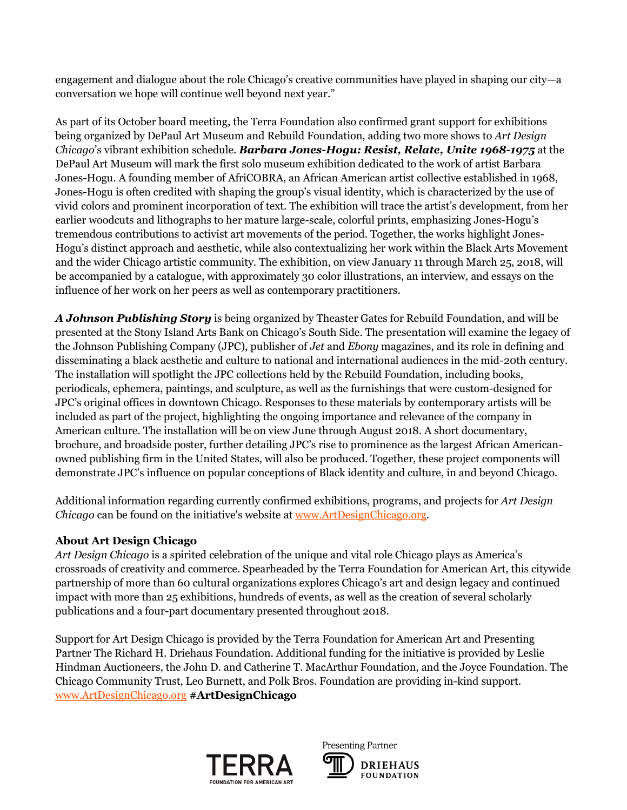engagement and dialogue about the role Chicago's creative communities have played in shaping our city—a conversation we hope will continue well beyond next year."

As part of its October board meeting, the Terra Foundation also confirmed grant support for exhibitions being organized by DePaul Art Museum and Rebuild Foundation, adding two more shows to *Art Design Chicago*'s vibrant exhibition schedule. *Barbara Jones-Hogu: Resist, Relate, Unite 1968-1975* at the DePaul Art Museum will mark the first solo museum exhibition dedicated to the work of artist Barbara Jones-Hogu. A founding member of AfriCOBRA, an African American artist collective established in 1968, Jones-Hogu is often credited with shaping the group's visual identity, which is characterized by the use of vivid colors and prominent incorporation of text. The exhibition will trace the artist's development, from her earlier woodcuts and lithographs to her mature large-scale, colorful prints, emphasizing Jones-Hogu's tremendous contributions to activist art movements of the period. Together, the works highlight Jones-Hogu's distinct approach and aesthetic, while also contextualizing her work within the Black Arts Movement and the wider Chicago artistic community. The exhibition, on view January 11 through March 25, 2018, will be accompanied by a catalogue, with approximately 30 color illustrations, an interview, and essays on the influence of her work on her peers as well as contemporary practitioners.

*A Johnson Publishing Story* is being organized by Theaster Gates for Rebuild Foundation, and will be presented at the Stony Island Arts Bank on Chicago's South Side. The presentation will examine the legacy of the Johnson Publishing Company (JPC), publisher of *Jet* and *Ebony* magazines, and its role in defining and disseminating a black aesthetic and culture to national and international audiences in the mid-20th century. The installation will spotlight the JPC collections held by the Rebuild Foundation, including books, periodicals, ephemera, paintings, and sculpture, as well as the furnishings that were custom-designed for JPC's original offices in downtown Chicago. Responses to these materials by contemporary artists will be included as part of the project, highlighting the ongoing importance and relevance of the company in American culture. The installation will be on view June through August 2018. A short documentary, brochure, and broadside poster, further detailing JPC's rise to prominence as the largest African Americanowned publishing firm in the United States, will also be produced. Together, these project components will demonstrate JPC's influence on popular conceptions of Black identity and culture, in and beyond Chicago.

Additional information regarding currently confirmed exhibitions, programs, and projects for *Art Design Chicago* can be found on the initiative's website at [www.ArtDesignChicago.org.](http://www.artdesignchicago.org/)

## **About Art Design Chicago**

*Art Design Chicago* is a spirited celebration of the unique and vital role Chicago plays as America's crossroads of creativity and commerce. Spearheaded by the Terra Foundation for American Art, this citywide partnership of more than 60 cultural organizations explores Chicago's art and design legacy and continued impact with more than 25 exhibitions, hundreds of events, as well as the creation of several scholarly publications and a four-part documentary presented throughout 2018.

Support for Art Design Chicago is provided by the Terra Foundation for American Art and Presenting Partner The Richard H. Driehaus Foundation. Additional funding for the initiative is provided by Leslie Hindman Auctioneers, the John D. and Catherine T. MacArthur Foundation, and the Joyce Foundation. The Chicago Community Trust, Leo Burnett, and Polk Bros. Foundation are providing in-kind support. [www.ArtDesignChicago.org](http://www.artdesignchicago.org/) **#ArtDesignChicago**